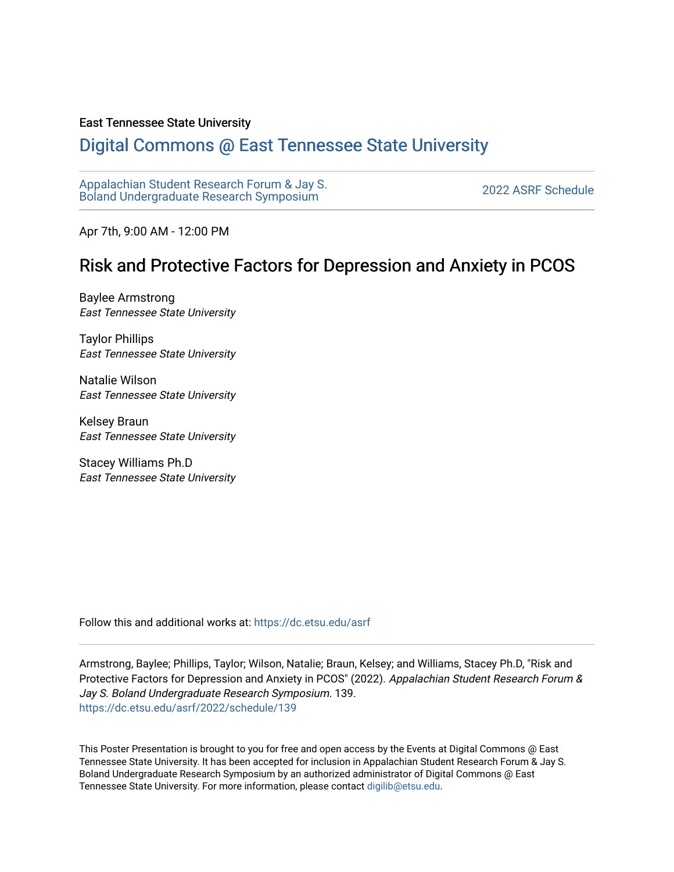#### East Tennessee State University

#### [Digital Commons @ East Tennessee State University](https://dc.etsu.edu/)

[Appalachian Student Research Forum & Jay S.](https://dc.etsu.edu/asrf)  Appalactifalt Student Research Forum & Jay S.<br>Boland Undergraduate Research Symposium

Apr 7th, 9:00 AM - 12:00 PM

#### Risk and Protective Factors for Depression and Anxiety in PCOS

Baylee Armstrong East Tennessee State University

Taylor Phillips East Tennessee State University

Natalie Wilson East Tennessee State University

Kelsey Braun East Tennessee State University

Stacey Williams Ph.D East Tennessee State University

Follow this and additional works at: [https://dc.etsu.edu/asrf](https://dc.etsu.edu/asrf?utm_source=dc.etsu.edu%2Fasrf%2F2022%2Fschedule%2F139&utm_medium=PDF&utm_campaign=PDFCoverPages) 

Armstrong, Baylee; Phillips, Taylor; Wilson, Natalie; Braun, Kelsey; and Williams, Stacey Ph.D, "Risk and Protective Factors for Depression and Anxiety in PCOS" (2022). Appalachian Student Research Forum & Jay S. Boland Undergraduate Research Symposium. 139. [https://dc.etsu.edu/asrf/2022/schedule/139](https://dc.etsu.edu/asrf/2022/schedule/139?utm_source=dc.etsu.edu%2Fasrf%2F2022%2Fschedule%2F139&utm_medium=PDF&utm_campaign=PDFCoverPages) 

This Poster Presentation is brought to you for free and open access by the Events at Digital Commons @ East Tennessee State University. It has been accepted for inclusion in Appalachian Student Research Forum & Jay S. Boland Undergraduate Research Symposium by an authorized administrator of Digital Commons @ East Tennessee State University. For more information, please contact [digilib@etsu.edu](mailto:digilib@etsu.edu).